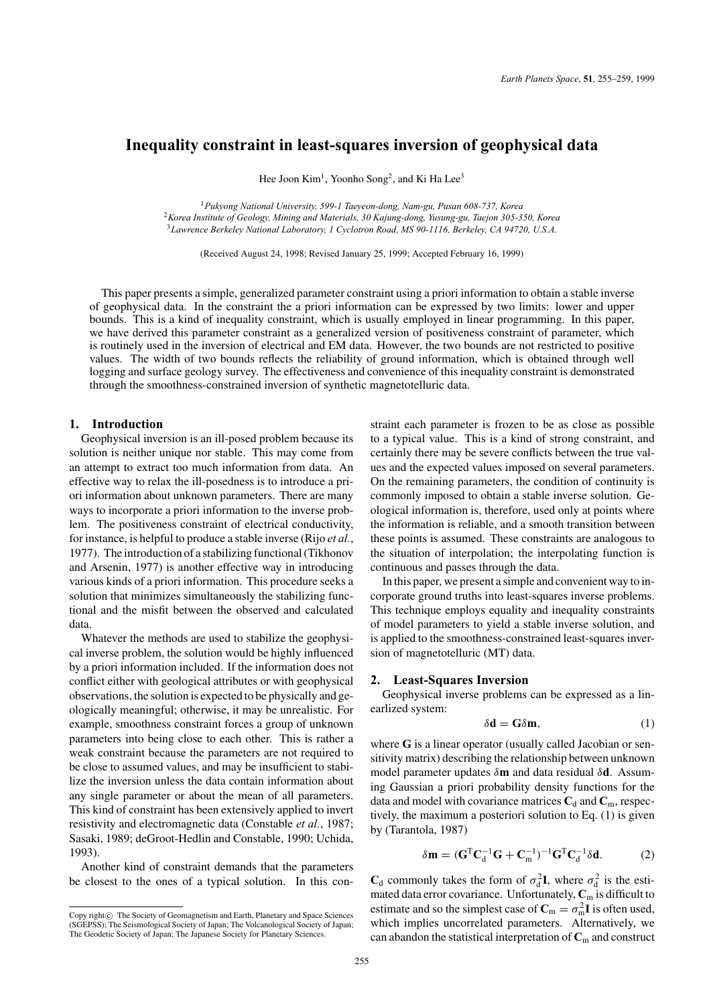# **Inequality constraint in least-squares inversion of geophysical data**

Hee Joon Kim<sup>1</sup>, Yoonho Song<sup>2</sup>, and Ki Ha Lee<sup>3</sup>

<sup>1</sup>*Pukyong National University, 599-1 Taeyeon-dong, Nam-gu, Pusan 608-737, Korea* <sup>2</sup>*Korea Institute of Geology, Mining and Materials, 30 Kajung-dong, Yusung-gu, Taejon 305-350, Korea* <sup>3</sup>*Lawrence Berkeley National Laboratory, 1 Cyclotron Road, MS 90-1116, Berkeley, CA 94720, U.S.A.*

(Received August 24, 1998; Revised January 25, 1999; Accepted February 16, 1999)

This paper presents a simple, generalized parameter constraint using a priori information to obtain a stable inverse of geophysical data. In the constraint the a priori information can be expressed by two limits: lower and upper bounds. This is a kind of inequality constraint, which is usually employed in linear programming. In this paper, we have derived this parameter constraint as a generalized version of positiveness constraint of parameter, which is routinely used in the inversion of electrical and EM data. However, the two bounds are not restricted to positive values. The width of two bounds reflects the reliability of ground information, which is obtained through well logging and surface geology survey. The effectiveness and convenience of this inequality constraint is demonstrated through the smoothness-constrained inversion of synthetic magnetotelluric data.

### **1. Introduction**

Geophysical inversion is an ill-posed problem because its solution is neither unique nor stable. This may come from an attempt to extract too much information from data. An effective way to relax the ill-posedness is to introduce a priori information about unknown parameters. There are many ways to incorporate a priori information to the inverse problem. The positiveness constraint of electrical conductivity, for instance, is helpful to produce a stable inverse (Rijo *et al.*, 1977). The introduction of a stabilizing functional (Tikhonov and Arsenin, 1977) is another effective way in introducing various kinds of a priori information. This procedure seeks a solution that minimizes simultaneously the stabilizing functional and the misfit between the observed and calculated data.

Whatever the methods are used to stabilize the geophysical inverse problem, the solution would be highly influenced by a priori information included. If the information does not conflict either with geological attributes or with geophysical observations, the solution is expected to be physically and geologically meaningful; otherwise, it may be unrealistic. For example, smoothness constraint forces a group of unknown parameters into being close to each other. This is rather a weak constraint because the parameters are not required to be close to assumed values, and may be insufficient to stabilize the inversion unless the data contain information about any single parameter or about the mean of all parameters. This kind of constraint has been extensively applied to invert resistivity and electromagnetic data (Constable *et al.*, 1987; Sasaki, 1989; deGroot-Hedlin and Constable, 1990; Uchida, 1993).

Another kind of constraint demands that the parameters be closest to the ones of a typical solution. In this constraint each parameter is frozen to be as close as possible to a typical value. This is a kind of strong constraint, and certainly there may be severe conflicts between the true values and the expected values imposed on several parameters. On the remaining parameters, the condition of continuity is commonly imposed to obtain a stable inverse solution. Geological information is, therefore, used only at points where the information is reliable, and a smooth transition between these points is assumed. These constraints are analogous to the situation of interpolation; the interpolating function is continuous and passes through the data.

In this paper, we present a simple and convenient way to incorporate ground truths into least-squares inverse problems. This technique employs equality and inequality constraints of model parameters to yield a stable inverse solution, and is applied to the smoothness-constrained least-squares inversion of magnetotelluric (MT) data.

### **2. Least-Squares Inversion**

Geophysical inverse problems can be expressed as a linearlized system:

$$
\delta \mathbf{d} = \mathbf{G} \delta \mathbf{m},\tag{1}
$$

where G is a linear operator (usually called Jacobian or sensitivity matrix) describing the relationship between unknown model parameter updates δ**m** and data residual δ**d**. Assuming Gaussian a priori probability density functions for the data and model with covariance matrices  $C_d$  and  $C_m$ , respectively, the maximum a posteriori solution to Eq. (1) is given by (Tarantola, 1987)

$$
\delta \mathbf{m} = (\mathbf{G}^{\mathrm{T}} \mathbf{C}_{\mathrm{d}}^{-1} \mathbf{G} + \mathbf{C}_{\mathrm{m}}^{-1})^{-1} \mathbf{G}^{\mathrm{T}} \mathbf{C}_{\mathrm{d}}^{-1} \delta \mathbf{d}.
$$
 (2)

 $\mathbf{C}_{d}$  commonly takes the form of  $\sigma_{d}^{2} \mathbf{I}$ , where  $\sigma_{d}^{2}$  is the estimated data error covariance. Unfortunately, **C**<sup>m</sup> is difficult to estimate and so the simplest case of  $\mathbf{C}_m = \sigma_m^2 \mathbf{I}$  is often used, which implies uncorrelated parameters. Alternatively, we can abandon the statistical interpretation of  $C_m$  and construct

Copy right $©$  The Society of Geomagnetism and Earth, Planetary and Space Sciences (SGEPSS); The Seismological Society of Japan; The Volcanological Society of Japan; The Geodetic Society of Japan; The Japanese Society for Planetary Sciences.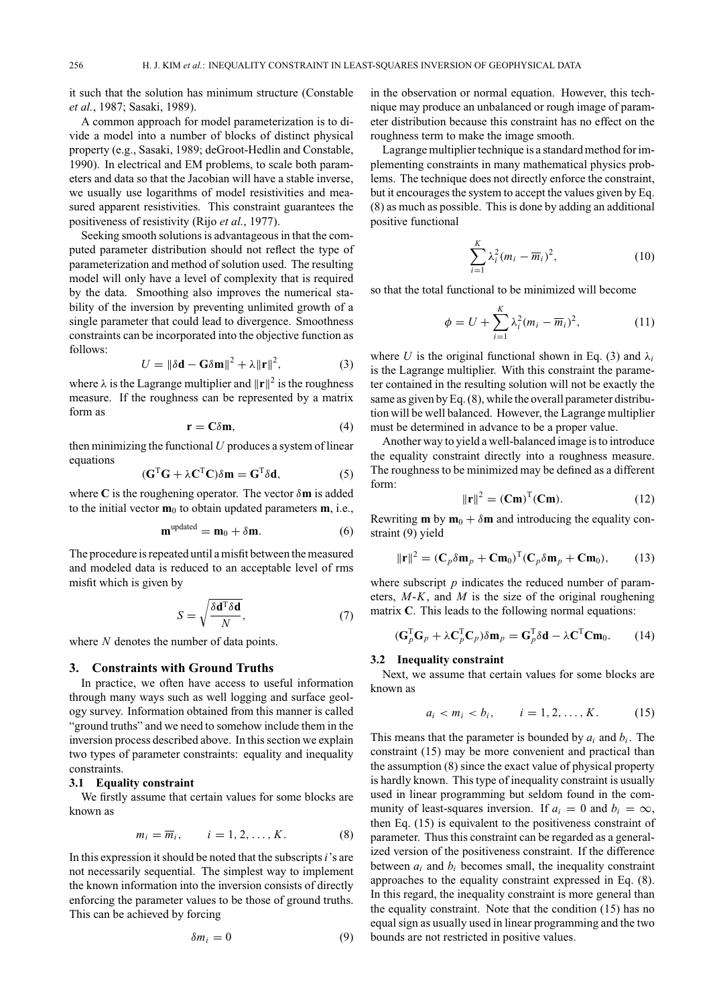it such that the solution has minimum structure (Constable *et al.*, 1987; Sasaki, 1989).

A common approach for model parameterization is to divide a model into a number of blocks of distinct physical property (e.g., Sasaki, 1989; deGroot-Hedlin and Constable, 1990). In electrical and EM problems, to scale both parameters and data so that the Jacobian will have a stable inverse, we usually use logarithms of model resistivities and measured apparent resistivities. This constraint guarantees the positiveness of resistivity (Rijo *et al.*, 1977).

Seeking smooth solutions is advantageous in that the computed parameter distribution should not reflect the type of parameterization and method of solution used. The resulting model will only have a level of complexity that is required by the data. Smoothing also improves the numerical stability of the inversion by preventing unlimited growth of a single parameter that could lead to divergence. Smoothness constraints can be incorporated into the objective function as follows:

$$
U = \|\delta \mathbf{d} - \mathbf{G}\delta \mathbf{m}\|^2 + \lambda \|\mathbf{r}\|^2, \tag{3}
$$

where  $\lambda$  is the Lagrange multiplier and  $\|\mathbf{r}\|^2$  is the roughness measure. If the roughness can be represented by a matrix form as

$$
\mathbf{r} = \mathbf{C}\delta\mathbf{m},\tag{4}
$$

then minimizing the functional *U* produces a system of linear equations

$$
(\mathbf{G}^{\mathrm{T}}\mathbf{G} + \lambda \mathbf{C}^{\mathrm{T}}\mathbf{C})\delta \mathbf{m} = \mathbf{G}^{\mathrm{T}}\delta \mathbf{d},\tag{5}
$$

where **C** is the roughening operator. The vector  $\delta$ **m** is added to the initial vector  $\mathbf{m}_0$  to obtain updated parameters  $\mathbf{m}$ , i.e.,

$$
\mathbf{m}^{\text{updated}} = \mathbf{m}_0 + \delta \mathbf{m}.\tag{6}
$$

The procedure is repeated until a misfit between the measured and modeled data is reduced to an acceptable level of rms misfit which is given by

$$
S = \sqrt{\frac{\delta \mathbf{d}^{\mathrm{T}} \delta \mathbf{d}}{N}},\tag{7}
$$

where *N* denotes the number of data points.

#### **3. Constraints with Ground Truths**

In practice, we often have access to useful information through many ways such as well logging and surface geology survey. Information obtained from this manner is called "ground truths" and we need to somehow include them in the inversion process described above. In this section we explain two types of parameter constraints: equality and inequality constraints.

# **3.1 Equality constraint**

We firstly assume that certain values for some blocks are known as

$$
m_i = \overline{m}_i, \qquad i = 1, 2, \dots, K. \tag{8}
$$

In this expression it should be noted that the subscripts*i*'s are not necessarily sequential. The simplest way to implement the known information into the inversion consists of directly enforcing the parameter values to be those of ground truths. This can be achieved by forcing

$$
\delta m_i = 0 \tag{9}
$$

in the observation or normal equation. However, this technique may produce an unbalanced or rough image of parameter distribution because this constraint has no effect on the roughness term to make the image smooth.

Lagrange multiplier technique is a standard method for implementing constraints in many mathematical physics problems. The technique does not directly enforce the constraint, but it encourages the system to accept the values given by Eq. (8) as much as possible. This is done by adding an additional positive functional

$$
\sum_{i=1}^{K} \lambda_i^2 (m_i - \overline{m}_i)^2, \qquad (10)
$$

so that the total functional to be minimized will become

$$
\phi = U + \sum_{i=1}^{K} \lambda_i^2 (m_i - \overline{m}_i)^2, \tag{11}
$$

where *U* is the original functional shown in Eq. (3) and  $\lambda_i$ is the Lagrange multiplier. With this constraint the parameter contained in the resulting solution will not be exactly the same as given by Eq. (8), while the overall parameter distribution will be well balanced. However, the Lagrange multiplier must be determined in advance to be a proper value.

Another way to yield a well-balanced image is to introduce the equality constraint directly into a roughness measure. The roughness to be minimized may be defined as a different form:

$$
\|\mathbf{r}\|^2 = (\mathbf{C}\mathbf{m})^{\mathrm{T}}(\mathbf{C}\mathbf{m}).\tag{12}
$$

Rewriting **m** by  $\mathbf{m}_0 + \delta \mathbf{m}$  and introducing the equality constraint (9) yield

$$
\|\mathbf{r}\|^2 = (\mathbf{C}_p \delta \mathbf{m}_p + \mathbf{C} \mathbf{m}_0)^{\mathrm{T}} (\mathbf{C}_p \delta \mathbf{m}_p + \mathbf{C} \mathbf{m}_0), \qquad (13)
$$

where subscript *p* indicates the reduced number of parameters, *M*-*K*, and *M* is the size of the original roughening matrix **C**. This leads to the following normal equations:

$$
(\mathbf{G}_p^{\mathrm{T}}\mathbf{G}_p + \lambda \mathbf{C}_p^{\mathrm{T}}\mathbf{C}_p)\delta \mathbf{m}_p = \mathbf{G}_p^{\mathrm{T}}\delta \mathbf{d} - \lambda \mathbf{C}^{\mathrm{T}}\mathbf{C}\mathbf{m}_0. \qquad (14)
$$

### **3.2 Inequality constraint**

Next, we assume that certain values for some blocks are known as

$$
a_i < m_i < b_i, \qquad i = 1, 2, \dots, K. \tag{15}
$$

This means that the parameter is bounded by  $a_i$  and  $b_i$ . The constraint (15) may be more convenient and practical than the assumption (8) since the exact value of physical property is hardly known. This type of inequality constraint is usually used in linear programming but seldom found in the community of least-squares inversion. If  $a_i = 0$  and  $b_i = \infty$ , then Eq. (15) is equivalent to the positiveness constraint of parameter. Thus this constraint can be regarded as a generalized version of the positiveness constraint. If the difference between  $a_i$  and  $b_i$  becomes small, the inequality constraint approaches to the equality constraint expressed in Eq. (8). In this regard, the inequality constraint is more general than the equality constraint. Note that the condition (15) has no equal sign as usually used in linear programming and the two bounds are not restricted in positive values.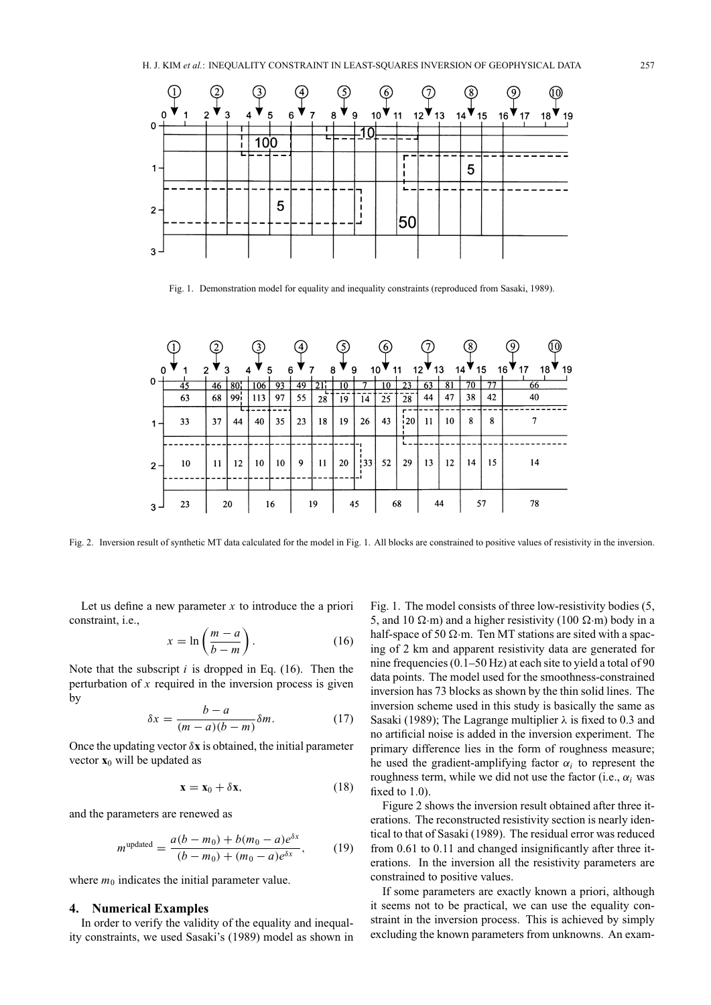

Fig. 1. Demonstration model for equality and inequality constraints (reproduced from Sasaki, 1989).



Fig. 2. Inversion result of synthetic MT data calculated for the model in Fig. 1. All blocks are constrained to positive values of resistivity in the inversion.

Let us define a new parameter  $x$  to introduce the a priori constraint, i.e.,

$$
x = \ln\left(\frac{m-a}{b-m}\right). \tag{16}
$$

Note that the subscript *i* is dropped in Eq. (16). Then the perturbation of *x* required in the inversion process is given by

$$
\delta x = \frac{b-a}{(m-a)(b-m)} \delta m. \tag{17}
$$

Once the updating vector  $\delta x$  is obtained, the initial parameter vector  $\mathbf{x}_0$  will be updated as

$$
\mathbf{x} = \mathbf{x}_0 + \delta \mathbf{x},\tag{18}
$$

and the parameters are renewed as

$$
m^{\text{updated}} = \frac{a(b - m_0) + b(m_0 - a)e^{\delta x}}{(b - m_0) + (m_0 - a)e^{\delta x}},
$$
 (19)

where  $m_0$  indicates the initial parameter value.

## **4. Numerical Examples**

In order to verify the validity of the equality and inequality constraints, we used Sasaki's (1989) model as shown in Fig. 1. The model consists of three low-resistivity bodies (5, 5, and 10  $\Omega$ ·m) and a higher resistivity (100  $\Omega$ ·m) body in a half-space of 50  $\Omega$ ·m. Ten MT stations are sited with a spacing of 2 km and apparent resistivity data are generated for nine frequencies (0.1–50 Hz) at each site to yield a total of 90 data points. The model used for the smoothness-constrained inversion has 73 blocks as shown by the thin solid lines. The inversion scheme used in this study is basically the same as Sasaki (1989); The Lagrange multiplier  $\lambda$  is fixed to 0.3 and no artificial noise is added in the inversion experiment. The primary difference lies in the form of roughness measure; he used the gradient-amplifying factor  $\alpha_i$  to represent the roughness term, while we did not use the factor (i.e.,  $\alpha_i$  was fixed to 1.0).

Figure 2 shows the inversion result obtained after three iterations. The reconstructed resistivity section is nearly identical to that of Sasaki (1989). The residual error was reduced from 0.61 to 0.11 and changed insignificantly after three iterations. In the inversion all the resistivity parameters are constrained to positive values.

If some parameters are exactly known a priori, although it seems not to be practical, we can use the equality constraint in the inversion process. This is achieved by simply excluding the known parameters from unknowns. An exam-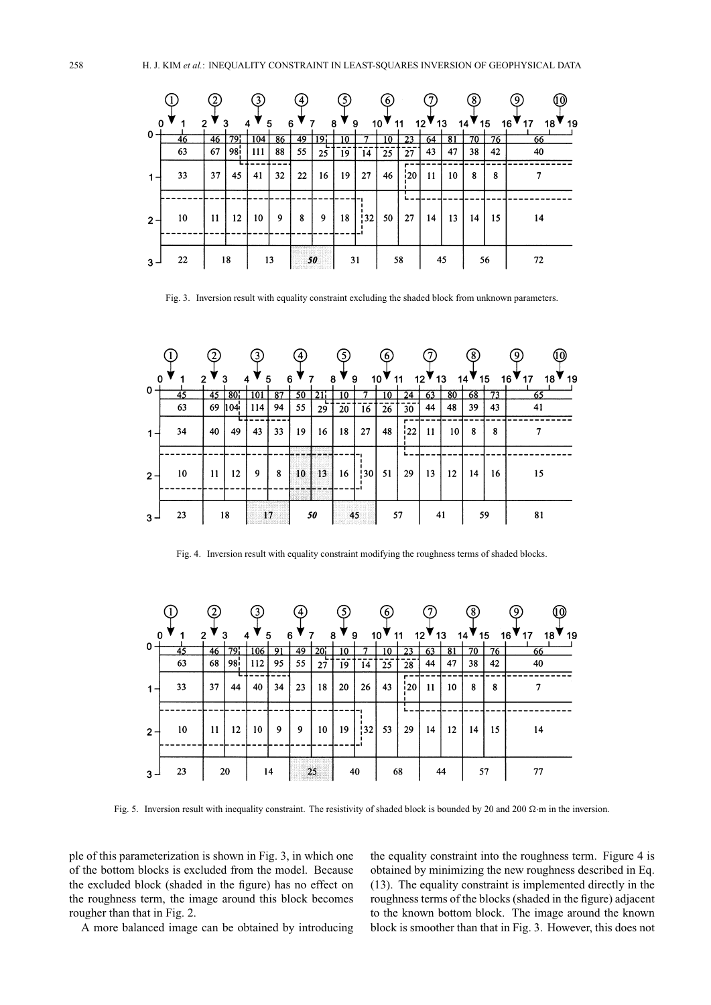

Fig. 3. Inversion result with equality constraint excluding the shaded block from unknown parameters.



Fig. 4. Inversion result with equality constraint modifying the roughness terms of shaded blocks.



Fig. 5. Inversion result with inequality constraint. The resistivity of shaded block is bounded by 20 and 200  $\Omega$  m in the inversion.

ple of this parameterization is shown in Fig. 3, in which one of the bottom blocks is excluded from the model. Because the excluded block (shaded in the figure) has no effect on the roughness term, the image around this block becomes rougher than that in Fig. 2.

the equality constraint into the roughness term. Figure 4 is obtained by minimizing the new roughness described in Eq. (13). The equality constraint is implemented directly in the roughness terms of the blocks (shaded in the figure) adjacent to the known bottom block. The image around the known block is smoother than that in Fig. 3. However, this does not

A more balanced image can be obtained by introducing